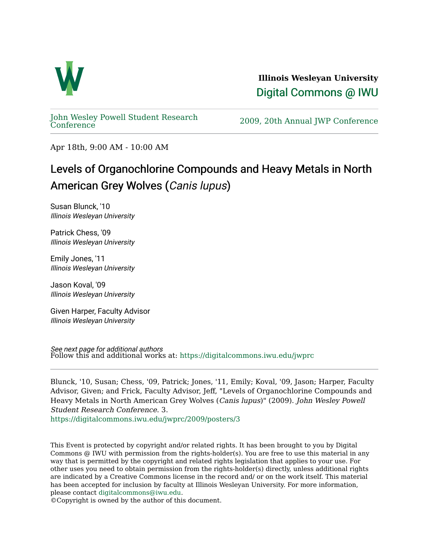

**Illinois Wesleyan University**  [Digital Commons @ IWU](https://digitalcommons.iwu.edu/) 

[John Wesley Powell Student Research](https://digitalcommons.iwu.edu/jwprc) 

2009, 20th Annual JWP [Conference](https://digitalcommons.iwu.edu/jwprc)

Apr 18th, 9:00 AM - 10:00 AM

## Levels of Organochlorine Compounds and Heavy Metals in North American Grey Wolves (Canis lupus)

Susan Blunck, '10 Illinois Wesleyan University

Patrick Chess, '09 Illinois Wesleyan University

Emily Jones, '11 Illinois Wesleyan University

Jason Koval, '09 Illinois Wesleyan University

Given Harper, Faculty Advisor Illinois Wesleyan University

See next page for additional authors Follow this and additional works at: [https://digitalcommons.iwu.edu/jwprc](https://digitalcommons.iwu.edu/jwprc?utm_source=digitalcommons.iwu.edu%2Fjwprc%2F2009%2Fposters%2F3&utm_medium=PDF&utm_campaign=PDFCoverPages) 

Blunck, '10, Susan; Chess, '09, Patrick; Jones, '11, Emily; Koval, '09, Jason; Harper, Faculty Advisor, Given; and Frick, Faculty Advisor, Jeff, "Levels of Organochlorine Compounds and Heavy Metals in North American Grey Wolves (Canis lupus)" (2009). John Wesley Powell Student Research Conference. 3.

[https://digitalcommons.iwu.edu/jwprc/2009/posters/3](https://digitalcommons.iwu.edu/jwprc/2009/posters/3?utm_source=digitalcommons.iwu.edu%2Fjwprc%2F2009%2Fposters%2F3&utm_medium=PDF&utm_campaign=PDFCoverPages) 

This Event is protected by copyright and/or related rights. It has been brought to you by Digital Commons @ IWU with permission from the rights-holder(s). You are free to use this material in any way that is permitted by the copyright and related rights legislation that applies to your use. For other uses you need to obtain permission from the rights-holder(s) directly, unless additional rights are indicated by a Creative Commons license in the record and/ or on the work itself. This material has been accepted for inclusion by faculty at Illinois Wesleyan University. For more information, please contact [digitalcommons@iwu.edu.](mailto:digitalcommons@iwu.edu)

©Copyright is owned by the author of this document.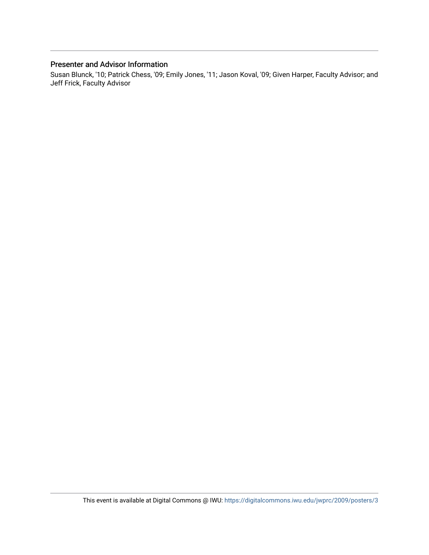## Presenter and Advisor Information

Susan Blunck, '10; Patrick Chess, '09; Emily Jones, '11; Jason Koval, '09; Given Harper, Faculty Advisor; and Jeff Frick, Faculty Advisor